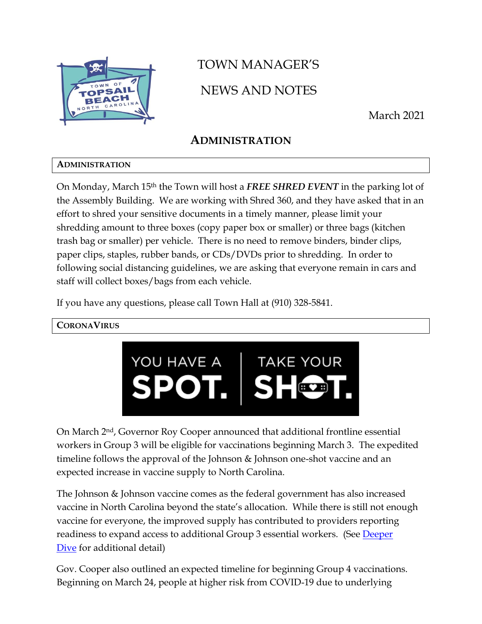

# TOWN MANAGER'S NEWS AND NOTES

March 2021

# **ADMINISTRATION**

### **ADMINISTRATION**

On Monday, March 15th the Town will host a *FREE SHRED EVENT* in the parking lot of the Assembly Building. We are working with Shred 360, and they have asked that in an effort to shred your sensitive documents in a timely manner, please limit your shredding amount to three boxes (copy paper box or smaller) or three bags (kitchen trash bag or smaller) per vehicle. There is no need to remove binders, binder clips, paper clips, staples, rubber bands, or CDs/DVDs prior to shredding. In order to following social distancing guidelines, we are asking that everyone remain in cars and staff will collect boxes/bags from each vehicle.

If you have any questions, please call Town Hall at (910) 328-5841.

### **CORONAVIRUS**



On March 2nd, Governor Roy Cooper announced that additional frontline essential workers in Group 3 will be eligible for vaccinations beginning March 3. The expedited timeline follows the approval of the Johnson & Johnson one-shot vaccine and an expected increase in vaccine supply to North Carolina.

The Johnson & Johnson vaccine comes as the federal government has also increased vaccine in North Carolina beyond the state's allocation. While there is still not enough vaccine for everyone, the improved supply has contributed to providers reporting readiness to expand access to additional Group 3 essential workers. (See [Deeper](https://urldefense.com/v3/__https:/click.icptrack.com/icp/relay.php?r=39781839&msgid=487564&act=20YB&c=1346310&destination=https*3A*2F*2Fcovid19.ncdhhs.gov*2Fvaccines*2Ffind-your-spot-take-your-shot*2Fdeeper-dive-group-3&cf=13425&v=4265b9953451a19f5dfe797ee03feba0e085fc6b18f170a3f95b63687d93b79e__;JSUlJSUl!!HYmSToo!JJL6BUkA9JZEEo3H2wq509WK5MnN6JWUkSMSjcuzPdpgkw-hutNp75ApDier3iZuFYyj$)  [Dive](https://urldefense.com/v3/__https:/click.icptrack.com/icp/relay.php?r=39781839&msgid=487564&act=20YB&c=1346310&destination=https*3A*2F*2Fcovid19.ncdhhs.gov*2Fvaccines*2Ffind-your-spot-take-your-shot*2Fdeeper-dive-group-3&cf=13425&v=4265b9953451a19f5dfe797ee03feba0e085fc6b18f170a3f95b63687d93b79e__;JSUlJSUl!!HYmSToo!JJL6BUkA9JZEEo3H2wq509WK5MnN6JWUkSMSjcuzPdpgkw-hutNp75ApDier3iZuFYyj$) for additional detail)

Gov. Cooper also outlined an expected timeline for beginning Group 4 vaccinations. Beginning on March 24, people at higher risk from COVID-19 due to underlying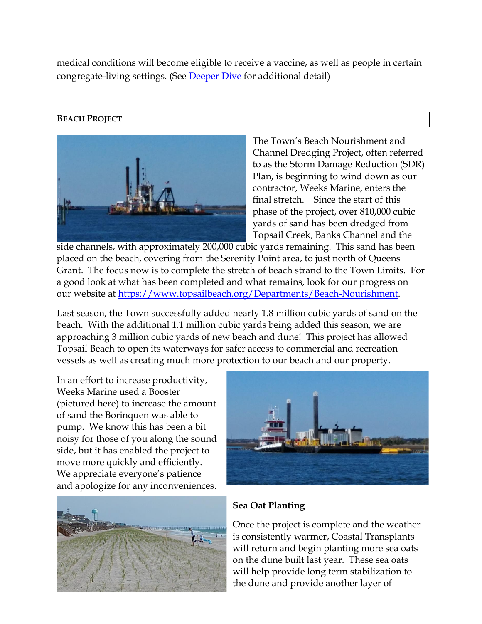medical conditions will become eligible to receive a vaccine, as well as people in certain congregate-living settings. (See [Deeper Dive](https://urldefense.com/v3/__https:/click.icptrack.com/icp/relay.php?r=39781839&msgid=487564&act=20YB&c=1346310&destination=https*3A*2F*2Ffiles.nc.gov*2Fcovid*2Fdocuments*2Fvaccines*2FDeeper-Dive-Group-4-Essential-Workers-Not-Yet-Vaccinated.pdf&cf=13425&v=97114a472c7a2b46fa2f0a552e8a314e7cca4b81b83c6433083637afa58e1c02__;JSUlJSUlJQ!!HYmSToo!JJL6BUkA9JZEEo3H2wq509WK5MnN6JWUkSMSjcuzPdpgkw-hutNp75ApDier3jkbzqiB$) for additional detail)

#### **BEACH PROJECT**



The Town's Beach Nourishment and Channel Dredging Project, often referred to as the Storm Damage Reduction (SDR) Plan, is beginning to wind down as our contractor, Weeks Marine, enters the final stretch. Since the start of this phase of the project, over 810,000 cubic yards of sand has been dredged from Topsail Creek, Banks Channel and the

side channels, with approximately 200,000 cubic yards remaining. This sand has been placed on the beach, covering from the Serenity Point area, to just north of Queens Grant. The focus now is to complete the stretch of beach strand to the Town Limits. For a good look at what has been completed and what remains, look for our progress on our website at [https://www.topsailbeach.org/Departments/Beach-Nourishment.](https://www.topsailbeach.org/Departments/Beach-Nourishment)

Last season, the Town successfully added nearly 1.8 million cubic yards of sand on the beach. With the additional 1.1 million cubic yards being added this season, we are approaching 3 million cubic yards of new beach and dune! This project has allowed Topsail Beach to open its waterways for safer access to commercial and recreation vessels as well as creating much more protection to our beach and our property.

In an effort to increase productivity, Weeks Marine used a Booster (pictured here) to increase the amount of sand the Borinquen was able to pump. We know this has been a bit noisy for those of you along the sound side, but it has enabled the project to move more quickly and efficiently. We appreciate everyone's patience and apologize for any inconveniences.





### **Sea Oat Planting**

Once the project is complete and the weather is consistently warmer, Coastal Transplants will return and begin planting more sea oats on the dune built last year. These sea oats will help provide long term stabilization to the dune and provide another layer of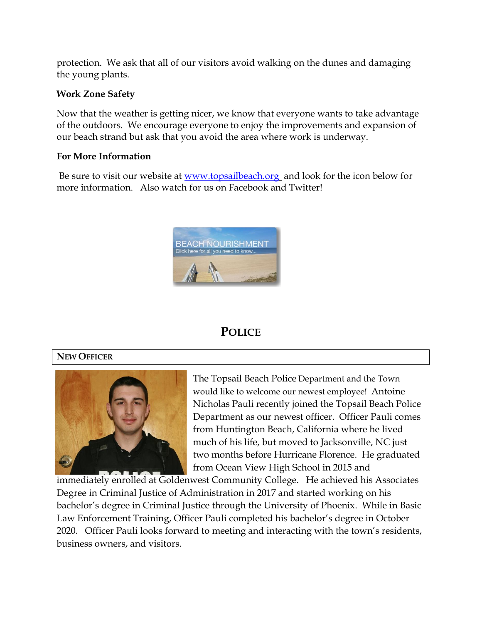protection. We ask that all of our visitors avoid walking on the dunes and damaging the young plants.

#### **Work Zone Safety**

Now that the weather is getting nicer, we know that everyone wants to take advantage of the outdoors. We encourage everyone to enjoy the improvements and expansion of our beach strand but ask that you avoid the area where work is underway.

#### **For More Information**

Be sure to visit our website at [www.topsailbeach.org](http://www.topsailbeach.org/) and look for the icon below for more information. Also watch for us on Facebook and Twitter!



# **POLICE**

#### **NEW OFFICER**



The Topsail Beach Police Department and the Town would like to welcome our newest employee! Antoine Nicholas Pauli recently joined the Topsail Beach Police Department as our newest officer. Officer Pauli comes from Huntington Beach, California where he lived much of his life, but moved to Jacksonville, NC just two months before Hurricane Florence. He graduated from Ocean View High School in 2015 and

immediately enrolled at Goldenwest Community College. He achieved his Associates Degree in Criminal Justice of Administration in 2017 and started working on his bachelor's degree in Criminal Justice through the University of Phoenix. While in Basic Law Enforcement Training, Officer Pauli completed his bachelor's degree in October 2020. Officer Pauli looks forward to meeting and interacting with the town's residents, business owners, and visitors.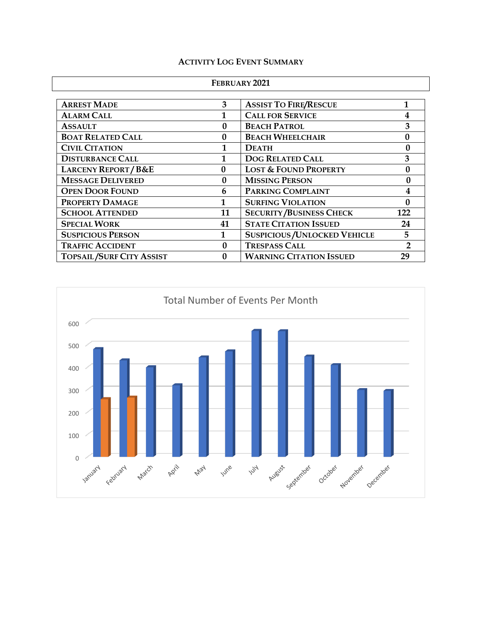#### **ACTIVITY LOG EVENT SUMMARY**

| FEBRUARY 2021 |  |
|---------------|--|
|---------------|--|

| <b>ARREST MADE</b>              | 3  | <b>ASSIST TO FIRE/RESCUE</b>         |     |
|---------------------------------|----|--------------------------------------|-----|
| <b>ALARM CALL</b>               |    | <b>CALL FOR SERVICE</b>              |     |
| <b>ASSAULT</b>                  | 0  | <b>BEACH PATROL</b>                  | 3   |
| <b>BOAT RELATED CALL</b>        | 0  | <b>BEACH WHEELCHAIR</b>              |     |
| <b>CIVIL CITATION</b>           |    | <b>DEATH</b>                         |     |
| <b>DISTURBANCE CALL</b>         |    | <b>DOG RELATED CALL</b>              | 3   |
| <b>LARCENY REPORT/B&amp;E</b>   | 0  | <b>LOST &amp; FOUND PROPERTY</b>     |     |
| <b>MESSAGE DELIVERED</b>        | 0  | <b>MISSING PERSON</b>                |     |
| <b>OPEN DOOR FOUND</b>          | 6  | PARKING COMPLAINT                    |     |
| PROPERTY DAMAGE                 | 1  | <b>SURFING VIOLATION</b>             |     |
| <b>SCHOOL ATTENDED</b>          | 11 | <b>SECURITY/BUSINESS CHECK</b>       | 122 |
| <b>SPECIAL WORK</b>             | 41 | <b>STATE CITATION ISSUED</b>         | 24  |
| <b>SUSPICIOUS PERSON</b>        |    | <b>SUSPICIOUS / UNLOCKED VEHICLE</b> | 5   |
| <b>TRAFFIC ACCIDENT</b>         | 0  | <b>TRESPASS CALL</b>                 |     |
| <b>TOPSAIL/SURF CITY ASSIST</b> | 0  | <b>WARNING CITATION ISSUED</b>       | 29  |

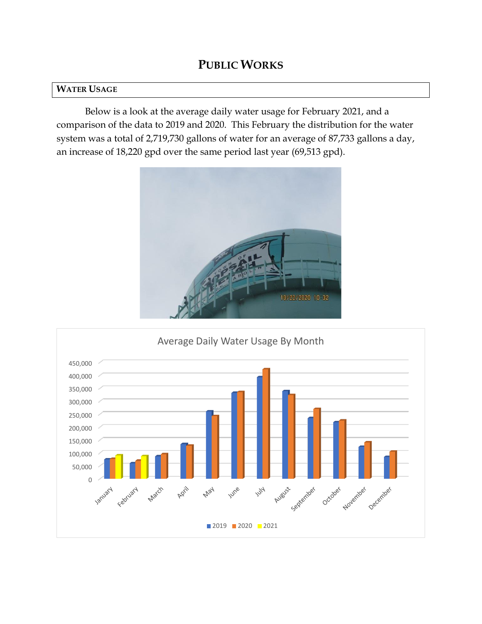### **PUBLIC WORKS**

#### **WATER USAGE**

Below is a look at the average daily water usage for February 2021, and a comparison of the data to 2019 and 2020. This February the distribution for the water system was a total of 2,719,730 gallons of water for an average of 87,733 gallons a day, an increase of 18,220 gpd over the same period last year (69,513 gpd).



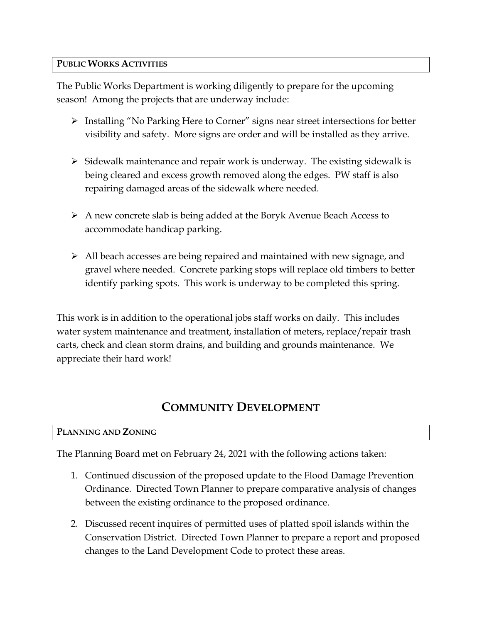#### **PUBLIC WORKS ACTIVITIES**

The Public Works Department is working diligently to prepare for the upcoming season! Among the projects that are underway include:

- ➢ Installing "No Parking Here to Corner" signs near street intersections for better visibility and safety. More signs are order and will be installed as they arrive.
- $\triangleright$  Sidewalk maintenance and repair work is underway. The existing sidewalk is being cleared and excess growth removed along the edges. PW staff is also repairing damaged areas of the sidewalk where needed.
- ➢ A new concrete slab is being added at the Boryk Avenue Beach Access to accommodate handicap parking.
- ➢ All beach accesses are being repaired and maintained with new signage, and gravel where needed. Concrete parking stops will replace old timbers to better identify parking spots. This work is underway to be completed this spring.

This work is in addition to the operational jobs staff works on daily. This includes water system maintenance and treatment, installation of meters, replace/repair trash carts, check and clean storm drains, and building and grounds maintenance. We appreciate their hard work!

# **COMMUNITY DEVELOPMENT**

#### **PLANNING AND ZONING**

The Planning Board met on February 24, 2021 with the following actions taken:

- 1. Continued discussion of the proposed update to the Flood Damage Prevention Ordinance. Directed Town Planner to prepare comparative analysis of changes between the existing ordinance to the proposed ordinance.
- 2. Discussed recent inquires of permitted uses of platted spoil islands within the Conservation District. Directed Town Planner to prepare a report and proposed changes to the Land Development Code to protect these areas.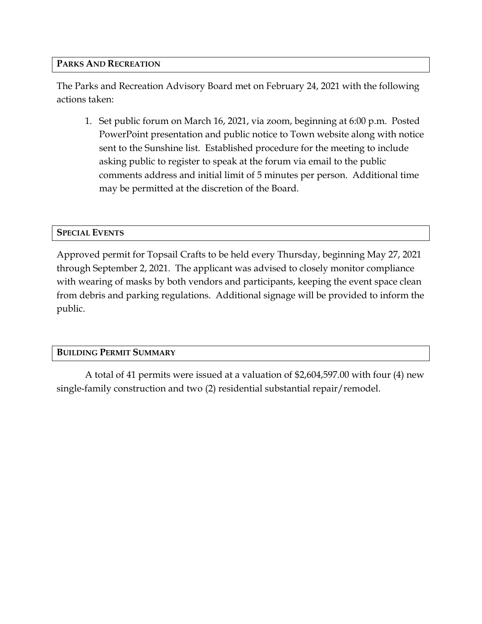#### **PARKS AND RECREATION**

The Parks and Recreation Advisory Board met on February 24, 2021 with the following actions taken:

1. Set public forum on March 16, 2021, via zoom, beginning at 6:00 p.m. Posted PowerPoint presentation and public notice to Town website along with notice sent to the Sunshine list. Established procedure for the meeting to include asking public to register to speak at the forum via email to the public comments address and initial limit of 5 minutes per person. Additional time may be permitted at the discretion of the Board.

#### **SPECIAL EVENTS**

Approved permit for Topsail Crafts to be held every Thursday, beginning May 27, 2021 through September 2, 2021. The applicant was advised to closely monitor compliance with wearing of masks by both vendors and participants, keeping the event space clean from debris and parking regulations. Additional signage will be provided to inform the public.

#### **BUILDING PERMIT SUMMARY**

A total of 41 permits were issued at a valuation of \$2,604,597.00 with four (4) new single-family construction and two (2) residential substantial repair/remodel.